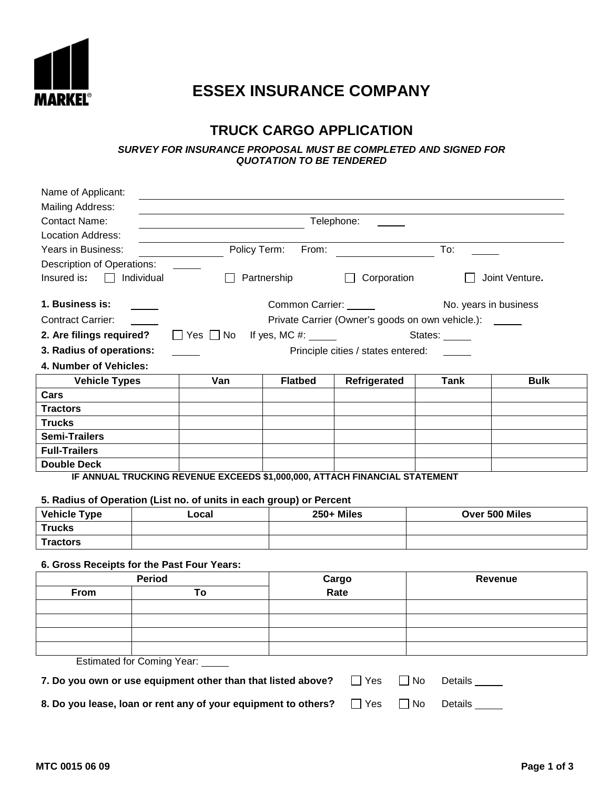

## **ESSEX INSURANCE COMPANY**

## **TRUCK CARGO APPLICATION**

**SURVEY FOR INSURANCE PROPOSAL MUST BE COMPLETED AND SIGNED FOR QUOTATION TO BE TENDERED**

| Name of Applicant:                                                         |                                                         |                                       |                                    |               |                       |  |  |  |
|----------------------------------------------------------------------------|---------------------------------------------------------|---------------------------------------|------------------------------------|---------------|-----------------------|--|--|--|
| Mailing Address:                                                           |                                                         |                                       |                                    |               |                       |  |  |  |
| <b>Contact Name:</b>                                                       | Telephone:                                              |                                       |                                    |               |                       |  |  |  |
| Location Address:                                                          |                                                         |                                       |                                    |               |                       |  |  |  |
| Years in Business:                                                         | Policy Term:                                            | From:                                 |                                    | To:           |                       |  |  |  |
| Description of Operations:                                                 |                                                         |                                       |                                    |               |                       |  |  |  |
| Insured is:<br>Individual                                                  |                                                         | Partnership                           | Corporation<br>Joint Venture.      |               |                       |  |  |  |
| 1. Business is:                                                            |                                                         | Common Carrier: ______                |                                    |               | No. years in business |  |  |  |
| <b>Contract Carrier:</b>                                                   | Private Carrier (Owner's goods on own vehicle.): ______ |                                       |                                    |               |                       |  |  |  |
| 2. Are filings required?                                                   | $\Box$ Yes $\Box$ No                                    | If yes, MC #: $\_\_\_\_\_\_\_\_\_\_\$ |                                    | States: _____ |                       |  |  |  |
| 3. Radius of operations:                                                   |                                                         |                                       | Principle cities / states entered: |               |                       |  |  |  |
| 4. Number of Vehicles:                                                     |                                                         |                                       |                                    |               |                       |  |  |  |
| <b>Vehicle Types</b>                                                       | Van                                                     | <b>Flatbed</b>                        | Refrigerated                       | Tank          | <b>Bulk</b>           |  |  |  |
| Cars                                                                       |                                                         |                                       |                                    |               |                       |  |  |  |
| <b>Tractors</b>                                                            |                                                         |                                       |                                    |               |                       |  |  |  |
| <b>Trucks</b>                                                              |                                                         |                                       |                                    |               |                       |  |  |  |
| <b>Semi-Trailers</b>                                                       |                                                         |                                       |                                    |               |                       |  |  |  |
| <b>Full-Trailers</b>                                                       |                                                         |                                       |                                    |               |                       |  |  |  |
| <b>Double Deck</b>                                                         |                                                         |                                       |                                    |               |                       |  |  |  |
| IF ANNUAL TRUCKING REVENUE EXCEEDS \$1,000,000, ATTACH FINANCIAL STATEMENT |                                                         |                                       |                                    |               |                       |  |  |  |

## **5. Radius of Operation (List no. of units in each group) or Percent**

| <b>Vehicle Type</b> | ∟ocal | $250 +$ Miles | Over 500 Miles |
|---------------------|-------|---------------|----------------|
| <b>Trucks</b>       |       |               |                |
| <b>Tractors</b>     |       |               |                |

## **6. Gross Receipts for the Past Four Years:**

|                                  | <b>Period</b> | Cargo<br>Rate | Revenue |  |  |  |  |  |
|----------------------------------|---------------|---------------|---------|--|--|--|--|--|
| From                             | To            |               |         |  |  |  |  |  |
|                                  |               |               |         |  |  |  |  |  |
|                                  |               |               |         |  |  |  |  |  |
|                                  |               |               |         |  |  |  |  |  |
|                                  |               |               |         |  |  |  |  |  |
| Estimated for Coming Year: _____ |               |               |         |  |  |  |  |  |

| 7. Do you own or use equipment other than that listed above?   | $\Box$ Yes | $\Box$ No | Details |
|----------------------------------------------------------------|------------|-----------|---------|
| 8. Do you lease, loan or rent any of your equipment to others? | □ Yes      | $\Box$ No | Details |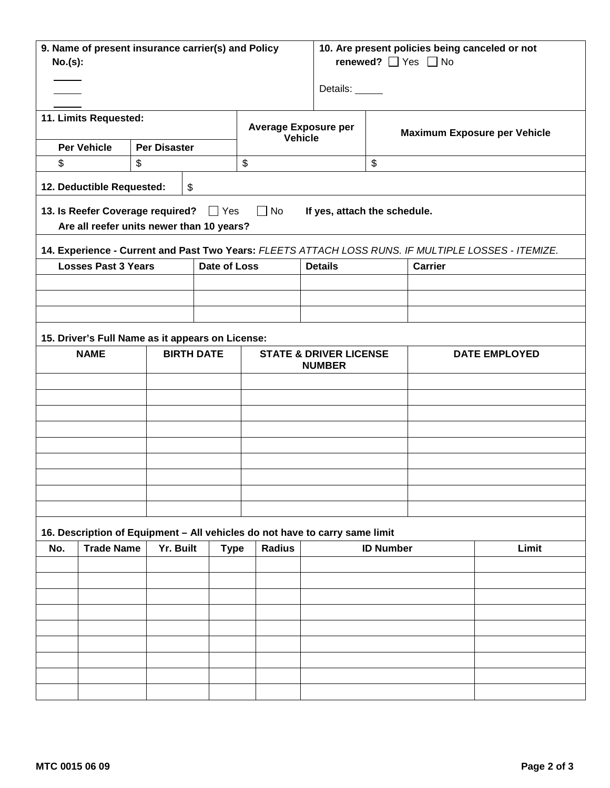| No.(s):                                                                                                                         | 9. Name of present insurance carrier(s) and Policy              |                     |                   |                                                                             | 10. Are present policies being canceled or not<br>renewed? $\Box$ Yes $\Box$ No<br>Details: _____ |                                     |                |                                                                                                     |  |  |
|---------------------------------------------------------------------------------------------------------------------------------|-----------------------------------------------------------------|---------------------|-------------------|-----------------------------------------------------------------------------|---------------------------------------------------------------------------------------------------|-------------------------------------|----------------|-----------------------------------------------------------------------------------------------------|--|--|
|                                                                                                                                 | 11. Limits Requested:                                           |                     |                   | <b>Average Exposure per</b><br><b>Vehicle</b>                               |                                                                                                   | <b>Maximum Exposure per Vehicle</b> |                |                                                                                                     |  |  |
|                                                                                                                                 | <b>Per Vehicle</b>                                              | <b>Per Disaster</b> |                   |                                                                             |                                                                                                   |                                     |                |                                                                                                     |  |  |
| \$                                                                                                                              |                                                                 | \$                  |                   | \$                                                                          |                                                                                                   | \$                                  |                |                                                                                                     |  |  |
|                                                                                                                                 | 12. Deductible Requested:                                       |                     | \$                |                                                                             |                                                                                                   |                                     |                |                                                                                                     |  |  |
| 13. Is Reefer Coverage required? Thes<br>$\Box$ No<br>If yes, attach the schedule.<br>Are all reefer units newer than 10 years? |                                                                 |                     |                   |                                                                             |                                                                                                   |                                     |                |                                                                                                     |  |  |
|                                                                                                                                 |                                                                 |                     |                   |                                                                             |                                                                                                   |                                     |                | 14. Experience - Current and Past Two Years: FLEETS ATTACH LOSS RUNS. IF MULTIPLE LOSSES - ITEMIZE. |  |  |
|                                                                                                                                 | <b>Losses Past 3 Years</b>                                      |                     | Date of Loss      |                                                                             | <b>Details</b>                                                                                    |                                     | <b>Carrier</b> |                                                                                                     |  |  |
|                                                                                                                                 |                                                                 |                     |                   |                                                                             |                                                                                                   |                                     |                |                                                                                                     |  |  |
|                                                                                                                                 |                                                                 |                     |                   |                                                                             |                                                                                                   |                                     |                |                                                                                                     |  |  |
|                                                                                                                                 |                                                                 |                     |                   |                                                                             |                                                                                                   |                                     |                |                                                                                                     |  |  |
|                                                                                                                                 | 15. Driver's Full Name as it appears on License:<br><b>NAME</b> |                     | <b>BIRTH DATE</b> |                                                                             | <b>STATE &amp; DRIVER LICENSE</b>                                                                 |                                     |                | <b>DATE EMPLOYED</b>                                                                                |  |  |
|                                                                                                                                 |                                                                 |                     |                   |                                                                             | <b>NUMBER</b>                                                                                     |                                     |                |                                                                                                     |  |  |
|                                                                                                                                 |                                                                 |                     |                   |                                                                             |                                                                                                   |                                     |                |                                                                                                     |  |  |
|                                                                                                                                 |                                                                 |                     |                   |                                                                             |                                                                                                   |                                     |                |                                                                                                     |  |  |
|                                                                                                                                 |                                                                 |                     |                   |                                                                             |                                                                                                   |                                     |                |                                                                                                     |  |  |
|                                                                                                                                 |                                                                 |                     |                   |                                                                             |                                                                                                   |                                     |                |                                                                                                     |  |  |
|                                                                                                                                 |                                                                 |                     |                   |                                                                             |                                                                                                   |                                     |                |                                                                                                     |  |  |
|                                                                                                                                 |                                                                 |                     |                   |                                                                             |                                                                                                   |                                     |                |                                                                                                     |  |  |
|                                                                                                                                 |                                                                 |                     |                   |                                                                             |                                                                                                   |                                     |                |                                                                                                     |  |  |
|                                                                                                                                 |                                                                 |                     |                   |                                                                             |                                                                                                   |                                     |                |                                                                                                     |  |  |
|                                                                                                                                 |                                                                 |                     |                   | 16. Description of Equipment - All vehicles do not have to carry same limit |                                                                                                   |                                     |                |                                                                                                     |  |  |
| No.                                                                                                                             | <b>Trade Name</b>                                               | Yr. Built           | <b>Type</b>       | <b>Radius</b>                                                               | <b>ID Number</b>                                                                                  |                                     |                | Limit                                                                                               |  |  |
|                                                                                                                                 |                                                                 |                     |                   |                                                                             |                                                                                                   |                                     |                |                                                                                                     |  |  |
|                                                                                                                                 |                                                                 |                     |                   |                                                                             |                                                                                                   |                                     |                |                                                                                                     |  |  |
|                                                                                                                                 |                                                                 |                     |                   |                                                                             |                                                                                                   |                                     |                |                                                                                                     |  |  |
|                                                                                                                                 |                                                                 |                     |                   |                                                                             |                                                                                                   |                                     |                |                                                                                                     |  |  |
|                                                                                                                                 |                                                                 |                     |                   |                                                                             |                                                                                                   |                                     |                |                                                                                                     |  |  |
|                                                                                                                                 |                                                                 |                     |                   |                                                                             |                                                                                                   |                                     |                |                                                                                                     |  |  |
|                                                                                                                                 |                                                                 |                     |                   |                                                                             |                                                                                                   |                                     |                |                                                                                                     |  |  |
|                                                                                                                                 |                                                                 |                     |                   |                                                                             |                                                                                                   |                                     |                |                                                                                                     |  |  |